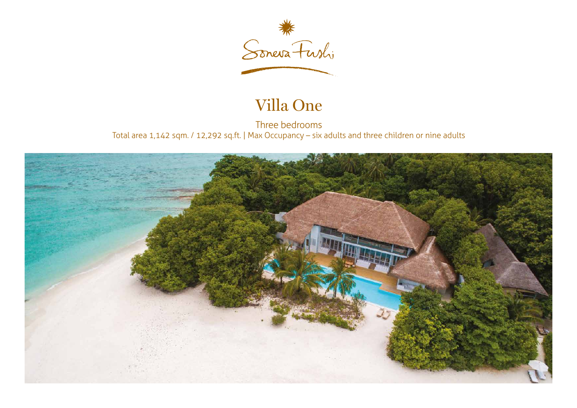

## Villa One

Three bedrooms Total area 1,142 sqm. / 12,292 sq.ft. | Max Occupancy – six adults and three children or nine adults

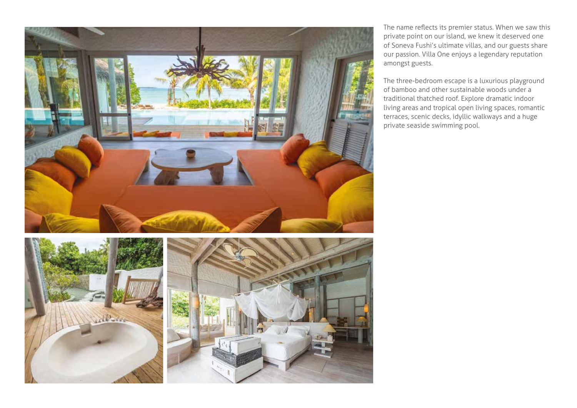



The name reflects its premier status. When we saw this private point on our island, we knew it deserved one of Soneva Fushi's ultimate villas, and our guests share our passion. Villa One enjoys a legendary reputation amongst guests.

The three-bedroom escape is a luxurious playground of bamboo and other sustainable woods under a traditional thatched roof. Explore dramatic indoor living areas and tropical open living spaces, romantic terraces, scenic decks, idyllic walkways and a huge private seaside swimming pool.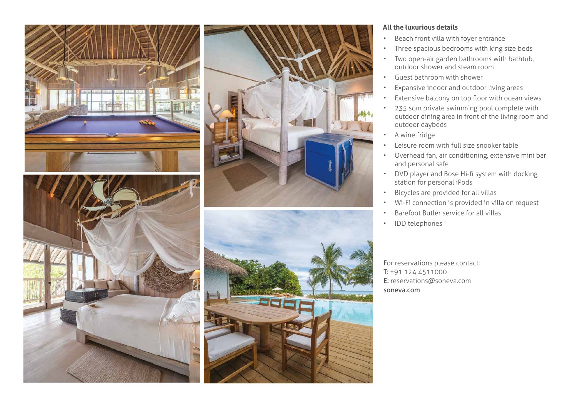

## **All the luxurious details**

- Beach front villa with foyer entrance
- Three spacious bedrooms with king size beds
- Two open-air garden bathrooms with bathtub, outdoor shower and steam room
- Guest bathroom with shower
- Expansive indoor and outdoor living areas
- Extensive balcony on top floor with ocean views
- 235 sqm private swimming pool complete with outdoor dining area in front of the living room and outdoor daybeds
- A wine fridge
- Leisure room with full size snooker table
- Overhead fan, air conditioning, extensive mini bar and personal safe
- DVD player and Bose Hi-fi system with docking station for personal iPods
- Bicycles are provided for all villas
- Wi-Fi connection is provided in villa on request
- Barefoot Butler service for all villas
- IDD telephones

For reservations please contact: T: +91 124 4511000 E: reservations@soneva.com soneva.com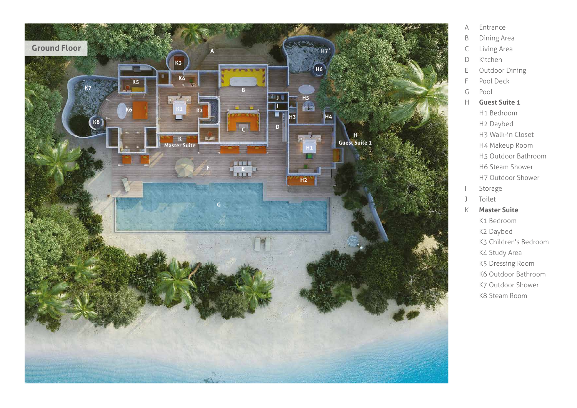

- A Ent ran c e
- B Dining A rea
- C Living A rea
- D Kitchen
- E Outdoor Dining
- F Pool Deck
- G Pool
- H **Guest Suite 1**
	- H1 Bed room H2 Daybed
		- H3 Walk-in Closet
	- H4 Ma keup Room
	- H5 Outdoor Bath room
	- H6 Steam Sh o wer
	- H7 Outdoor Sh o wer
- l Storage
- J Toilet
- K **Master Suite**
	- K1 Bed room
	- K2 Daybed
	- K3 Child ren's Bed room
	- K4 Study A rea
	- K5 D r e ssing Room
	- K6 Outdoor Bath room
	- K7 Outdoor Sh o wer
	- K8 Steam Room